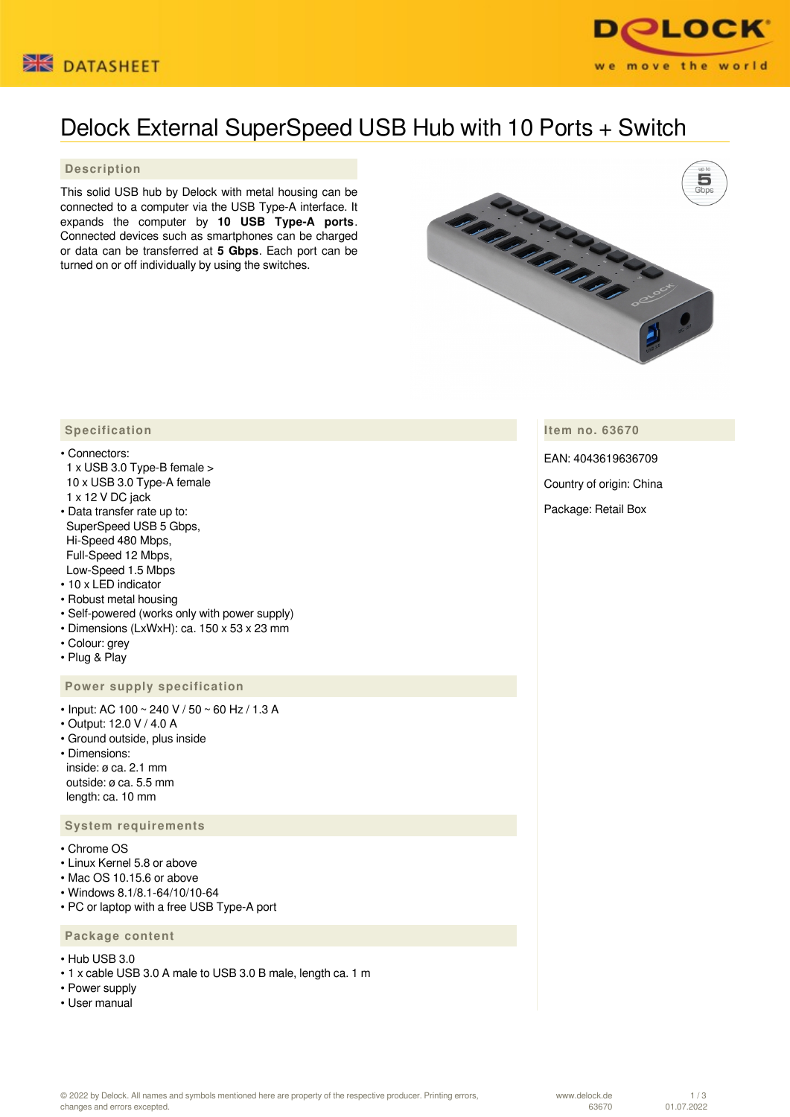



# Delock External SuperSpeed USB Hub with 10 Ports + Switch

#### **Description**

This solid USB hub by Delock with metal housing can be connected to a computer via the USB Type-A interface. It expands the computer by **10 USB Type-A ports**. Connected devices such as smartphones can be charged or data can be transferred at **5 Gbps**. Each port can be turned on or off individually by using the switches.



**Item no. 63670**

EAN: 4043619636709

Country of origin: China

Package: Retail Box

### **Specification**

- Connectors:
- 1 x USB 3.0 Type-B female > 10 x USB 3.0 Type-A female 1 x 12 V DC jack
- Data transfer rate up to: SuperSpeed USB 5 Gbps, Hi-Speed 480 Mbps, Full-Speed 12 Mbps, Low-Speed 1.5 Mbps
- 10 x LED indicator
- Robust metal housing
- Self-powered (works only with power supply)
- Dimensions (LxWxH): ca. 150 x 53 x 23 mm
- Colour: grey
- Plug & Play

# **Power supply specification**

- Input: AC 100 ~ 240 V / 50 ~ 60 Hz / 1.3 A
- Output: 12.0 V / 4.0 A
- Ground outside, plus inside
- Dimensions: inside: ø ca. 2.1 mm outside: ø ca. 5.5 mm length: ca. 10 mm

#### **System requirements**

- Chrome OS
- Linux Kernel 5.8 or above
- Mac OS 10.15.6 or above
- Windows 8.1/8.1-64/10/10-64
- PC or laptop with a free USB Type-A port

## **Package content**

- Hub USB 3.0
- 1 x cable USB 3.0 A male to USB 3.0 B male, length ca. 1 m
- Power supply
- User manual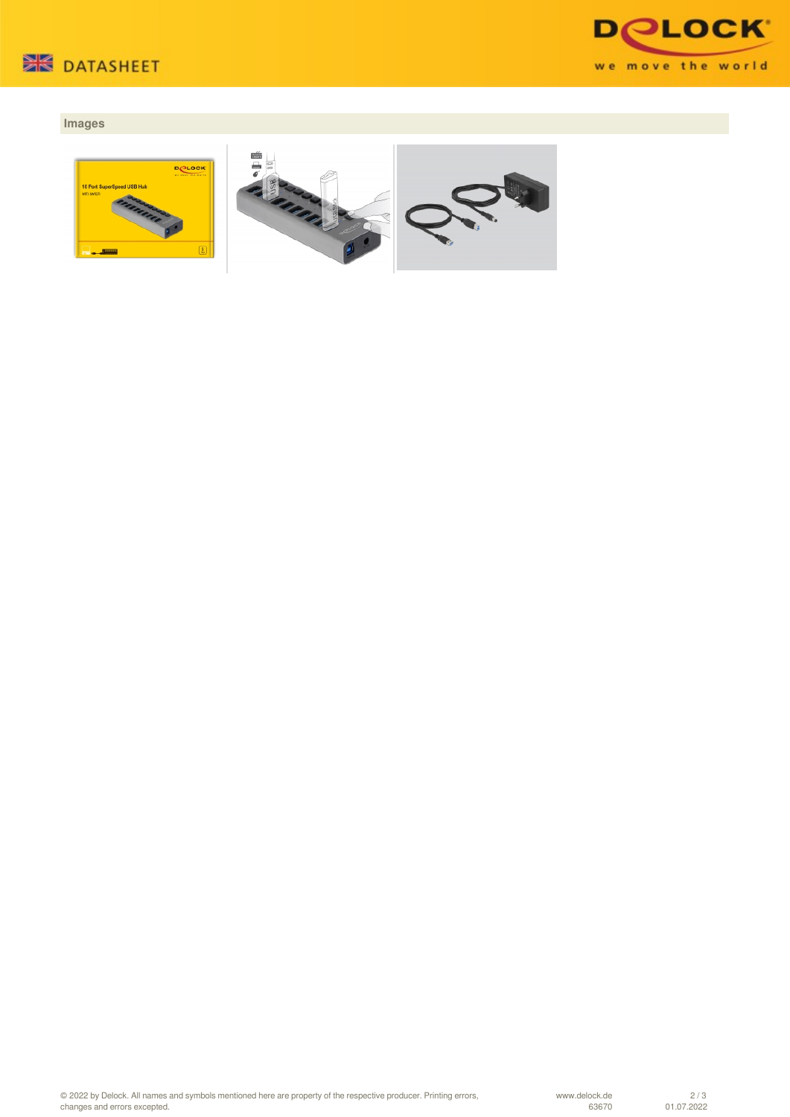



# **Images**